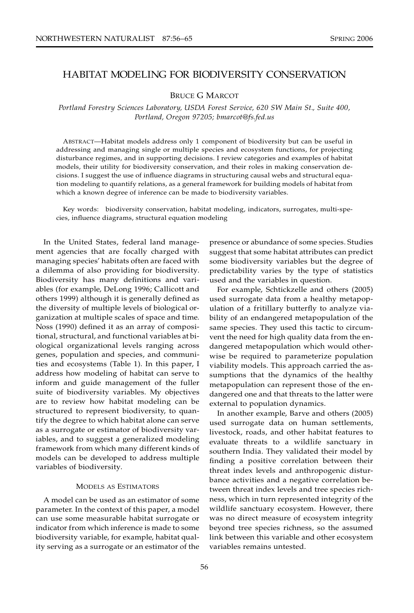# HABITAT MODELING FOR BIODIVERSITY CONSERVATION

## BRUCE G MARCOT

*Portland Forestry Sciences Laboratory, USDA Forest Service, 620 SW Main St., Suite 400, Portland, Oregon 97205; bmarcot@fs.fed.us*

ABSTRACT—Habitat models address only 1 component of biodiversity but can be useful in addressing and managing single or multiple species and ecosystem functions, for projecting disturbance regimes, and in supporting decisions. I review categories and examples of habitat models, their utility for biodiversity conservation, and their roles in making conservation decisions. I suggest the use of influence diagrams in structuring causal webs and structural equation modeling to quantify relations, as a general framework for building models of habitat from which a known degree of inference can be made to biodiversity variables.

Key words: biodiversity conservation, habitat modeling, indicators, surrogates, multi-species, influence diagrams, structural equation modeling

In the United States, federal land management agencies that are focally charged with managing species' habitats often are faced with a dilemma of also providing for biodiversity. Biodiversity has many definitions and variables (for example, DeLong 1996; Callicott and others 1999) although it is generally defined as the diversity of multiple levels of biological organization at multiple scales of space and time. Noss (1990) defined it as an array of compositional, structural, and functional variables at biological organizational levels ranging across genes, population and species, and communities and ecosystems (Table 1). In this paper, I address how modeling of habitat can serve to inform and guide management of the fuller suite of biodiversity variables. My objectives are to review how habitat modeling can be structured to represent biodiversity, to quantify the degree to which habitat alone can serve as a surrogate or estimator of biodiversity variables, and to suggest a generalized modeling framework from which many different kinds of models can be developed to address multiple variables of biodiversity.

## MODELS AS ESTIMATORS

A model can be used as an estimator of some parameter. In the context of this paper, a model can use some measurable habitat surrogate or indicator from which inference is made to some biodiversity variable, for example, habitat quality serving as a surrogate or an estimator of the presence or abundance of some species. Studies suggest that some habitat attributes can predict some biodiversity variables but the degree of predictability varies by the type of statistics used and the variables in question.

For example, Schtickzelle and others (2005) used surrogate data from a healthy metapopulation of a fritillary butterfly to analyze viability of an endangered metapopulation of the same species. They used this tactic to circumvent the need for high quality data from the endangered metapopulation which would otherwise be required to parameterize population viability models. This approach carried the assumptions that the dynamics of the healthy metapopulation can represent those of the endangered one and that threats to the latter were external to population dynamics.

In another example, Barve and others (2005) used surrogate data on human settlements, livestock, roads, and other habitat features to evaluate threats to a wildlife sanctuary in southern India. They validated their model by finding a positive correlation between their threat index levels and anthropogenic disturbance activities and a negative correlation between threat index levels and tree species richness, which in turn represented integrity of the wildlife sanctuary ecosystem. However, there was no direct measure of ecosystem integrity beyond tree species richness, so the assumed link between this variable and other ecosystem variables remains untested.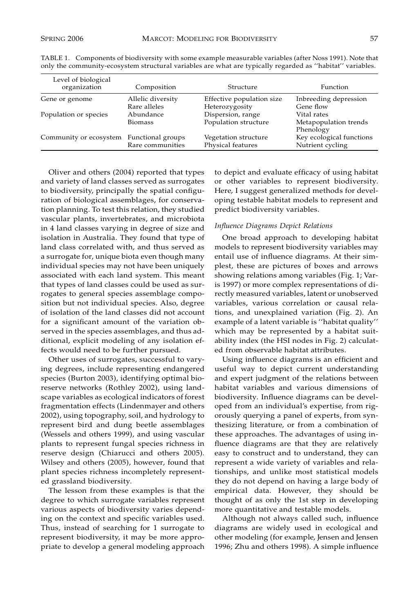| Level of biological<br>organization | Composition       | Structure                 | Function                 |
|-------------------------------------|-------------------|---------------------------|--------------------------|
| Gene or genome                      | Allelic diversity | Effective population size | Inbreeding depression    |
|                                     | Rare alleles      | Heterozygosity            | Gene flow                |
| Population or species               | Abundance         | Dispersion, range         | Vital rates              |
|                                     | <b>Biomass</b>    | Population structure      | Metapopulation trends    |
|                                     |                   |                           | Phenology                |
| Community or ecosystem              | Functional groups | Vegetation structure      | Key ecological functions |
|                                     | Rare communities  | Physical features         | Nutrient cycling         |

TABLE 1. Components of biodiversity with some example measurable variables (after Noss 1991). Note that only the community-ecosystem structural variables are what are typically regarded as ''habitat'' variables.

Oliver and others (2004) reported that types and variety of land classes served as surrogates to biodiversity, principally the spatial configuration of biological assemblages, for conservation planning. To test this relation, they studied vascular plants, invertebrates, and microbiota in 4 land classes varying in degree of size and isolation in Australia. They found that type of land class correlated with, and thus served as a surrogate for, unique biota even though many individual species may not have been uniquely associated with each land system. This meant that types of land classes could be used as surrogates to general species assemblage composition but not individual species. Also, degree of isolation of the land classes did not account for a significant amount of the variation observed in the species assemblages, and thus additional, explicit modeling of any isolation effects would need to be further pursued.

Other uses of surrogates, successful to varying degrees, include representing endangered species (Burton 2003), identifying optimal bioreserve networks (Rothley 2002), using landscape variables as ecological indicators of forest fragmentation effects (Lindenmayer and others 2002), using topography, soil, and hydrology to represent bird and dung beetle assemblages (Wessels and others 1999), and using vascular plants to represent fungal species richness in reserve design (Chiarucci and others 2005). Wilsey and others (2005), however, found that plant species richness incompletely represented grassland biodiversity.

The lesson from these examples is that the degree to which surrogate variables represent various aspects of biodiversity varies depending on the context and specific variables used. Thus, instead of searching for 1 surrogate to represent biodiversity, it may be more appropriate to develop a general modeling approach

to depict and evaluate efficacy of using habitat or other variables to represent biodiversity. Here, I suggest generalized methods for developing testable habitat models to represent and predict biodiversity variables.

## *Influence Diagrams Depict Relations*

One broad approach to developing habitat models to represent biodiversity variables may entail use of influence diagrams. At their simplest, these are pictures of boxes and arrows showing relations among variables (Fig. 1; Varis 1997) or more complex representations of directly measured variables, latent or unobserved variables, various correlation or causal relations, and unexplained variation (Fig. 2). An example of a latent variable is ''habitat quality'' which may be represented by a habitat suitability index (the HSI nodes in Fig. 2) calculated from observable habitat attributes.

Using influence diagrams is an efficient and useful way to depict current understanding and expert judgment of the relations between habitat variables and various dimensions of biodiversity. Influence diagrams can be developed from an individual's expertise, from rigorously querying a panel of experts, from synthesizing literature, or from a combination of these approaches. The advantages of using influence diagrams are that they are relatively easy to construct and to understand, they can represent a wide variety of variables and relationships, and unlike most statistical models they do not depend on having a large body of empirical data. However, they should be thought of as only the 1st step in developing more quantitative and testable models.

Although not always called such, influence diagrams are widely used in ecological and other modeling (for example, Jensen and Jensen 1996; Zhu and others 1998). A simple influence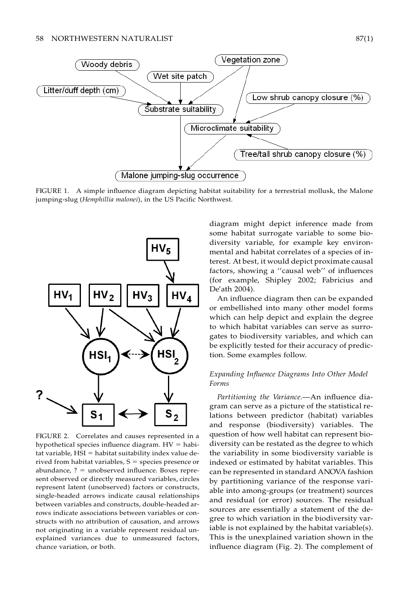

FIGURE 1. A simple influence diagram depicting habitat suitability for a terrestrial mollusk, the Malone jumping-slug (*Hemphillia malonei*), in the US Pacific Northwest.



FIGURE 2. Correlates and causes represented in a hypothetical species influence diagram.  $HV = habi$  $tat$  variable,  $HSI =$  habitat suitability index value derived from habitat variables,  $S =$  species presence or abundance,  $? =$  unobserved influence. Boxes represent observed or directly measured variables, circles represent latent (unobserved) factors or constructs, single-headed arrows indicate causal relationships between variables and constructs, double-headed arrows indicate associations between variables or constructs with no attribution of causation, and arrows not originating in a variable represent residual unexplained variances due to unmeasured factors, chance variation, or both.

diagram might depict inference made from some habitat surrogate variable to some biodiversity variable, for example key environmental and habitat correlates of a species of interest. At best, it would depict proximate causal factors, showing a ''causal web'' of influences (for example, Shipley 2002; Fabricius and De'ath 2004).

An influence diagram then can be expanded or embellished into many other model forms which can help depict and explain the degree to which habitat variables can serve as surrogates to biodiversity variables, and which can be explicitly tested for their accuracy of prediction. Some examples follow.

## *Expanding Influence Diagrams Into Other Model Forms*

*Partitioning the Variance.*—An influence diagram can serve as a picture of the statistical relations between predictor (habitat) variables and response (biodiversity) variables. The question of how well habitat can represent biodiversity can be restated as the degree to which the variability in some biodiversity variable is indexed or estimated by habitat variables. This can be represented in standard ANOVA fashion by partitioning variance of the response variable into among-groups (or treatment) sources and residual (or error) sources. The residual sources are essentially a statement of the degree to which variation in the biodiversity variable is not explained by the habitat variable(s). This is the unexplained variation shown in the influence diagram (Fig. 2). The complement of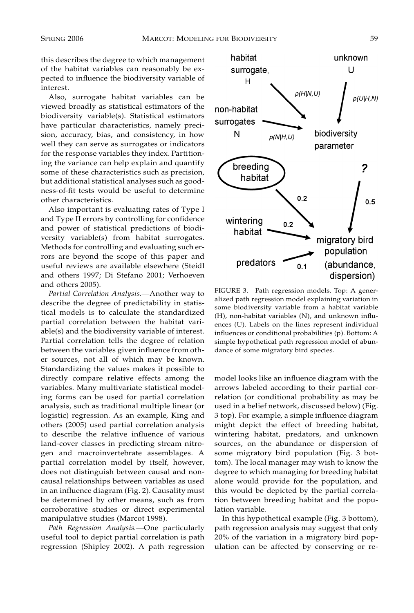this describes the degree to which management of the habitat variables can reasonably be expected to influence the biodiversity variable of interest.

Also, surrogate habitat variables can be viewed broadly as statistical estimators of the biodiversity variable(s). Statistical estimators have particular characteristics, namely precision, accuracy, bias, and consistency, in how well they can serve as surrogates or indicators for the response variables they index. Partitioning the variance can help explain and quantify some of these characteristics such as precision, but additional statistical analyses such as goodness-of-fit tests would be useful to determine other characteristics.

Also important is evaluating rates of Type I and Type II errors by controlling for confidence and power of statistical predictions of biodiversity variable(s) from habitat surrogates. Methods for controlling and evaluating such errors are beyond the scope of this paper and useful reviews are available elsewhere (Steidl and others 1997; Di Stefano 2001; Verhoeven and others 2005).

*Partial Correlation Analysis.*—Another way to describe the degree of predictability in statistical models is to calculate the standardized partial correlation between the habitat variable(s) and the biodiversity variable of interest. Partial correlation tells the degree of relation between the variables given influence from other sources, not all of which may be known. Standardizing the values makes it possible to directly compare relative effects among the variables. Many multivariate statistical modeling forms can be used for partial correlation analysis, such as traditional multiple linear (or logistic) regression. As an example, King and others (2005) used partial correlation analysis to describe the relative influence of various land-cover classes in predicting stream nitrogen and macroinvertebrate assemblages. A partial correlation model by itself, however, does not distinguish between causal and noncausal relationships between variables as used in an influence diagram (Fig. 2). Causality must be determined by other means, such as from corroborative studies or direct experimental manipulative studies (Marcot 1998).

*Path Regression Analysis.*—One particularly useful tool to depict partial correlation is path regression (Shipley 2002). A path regression



FIGURE 3. Path regression models. Top: A generalized path regression model explaining variation in some biodiversity variable from a habitat variable (H), non-habitat variables (N), and unknown influences (U). Labels on the lines represent individual influences or conditional probabilities (p). Bottom: A simple hypothetical path regression model of abundance of some migratory bird species.

model looks like an influence diagram with the arrows labeled according to their partial correlation (or conditional probability as may be used in a belief network, discussed below) (Fig. 3 top). For example, a simple influence diagram might depict the effect of breeding habitat, wintering habitat, predators, and unknown sources, on the abundance or dispersion of some migratory bird population (Fig. 3 bottom). The local manager may wish to know the degree to which managing for breeding habitat alone would provide for the population, and this would be depicted by the partial correlation between breeding habitat and the population variable.

In this hypothetical example (Fig. 3 bottom), path regression analysis may suggest that only 20% of the variation in a migratory bird population can be affected by conserving or re-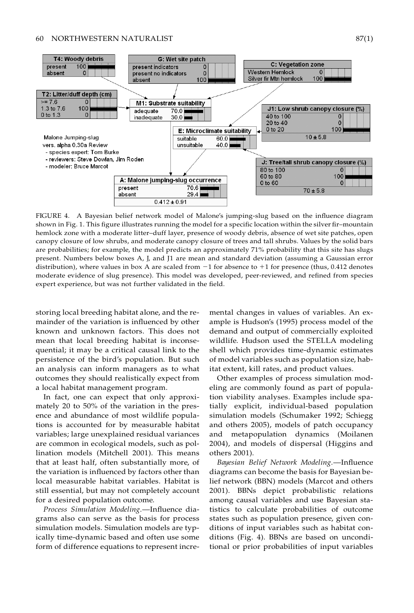

FIGURE 4. A Bayesian belief network model of Malone's jumping-slug based on the influence diagram shown in Fig. 1. This figure illustrates running the model for a specific location within the silver fir–mountain hemlock zone with a moderate litter–duff layer, presence of woody debris, absence of wet site patches, open canopy closure of low shrubs, and moderate canopy closure of trees and tall shrubs. Values by the solid bars are probabilities; for example, the model predicts an approximately 71% probability that this site has slugs present. Numbers below boxes A, J, and J1 are mean and standard deviation (assuming a Gaussian error distribution), where values in box A are scaled from  $-1$  for absence to  $+1$  for presence (thus, 0.412 denotes moderate evidence of slug presence). This model was developed, peer-reviewed, and refined from species expert experience, but was not further validated in the field.

storing local breeding habitat alone, and the remainder of the variation is influenced by other known and unknown factors. This does not mean that local breeding habitat is inconsequential; it may be a critical causal link to the persistence of the bird's population. But such an analysis can inform managers as to what outcomes they should realistically expect from a local habitat management program.

In fact, one can expect that only approximately 20 to 50% of the variation in the presence and abundance of most wildlife populations is accounted for by measurable habitat variables; large unexplained residual variances are common in ecological models, such as pollination models (Mitchell 2001). This means that at least half, often substantially more, of the variation is influenced by factors other than local measurable habitat variables. Habitat is still essential, but may not completely account for a desired population outcome.

*Process Simulation Modeling.*—Influence diagrams also can serve as the basis for process simulation models. Simulation models are typically time-dynamic based and often use some form of difference equations to represent incremental changes in values of variables. An example is Hudson's (1995) process model of the demand and output of commercially exploited wildlife. Hudson used the STELLA modeling shell which provides time-dynamic estimates of model variables such as population size, habitat extent, kill rates, and product values.

Other examples of process simulation modeling are commonly found as part of population viability analyses. Examples include spatially explicit, individual-based population simulation models (Schumaker 1992; Schiegg and others 2005), models of patch occupancy and metapopulation dynamics (Moilanen 2004), and models of dispersal (Higgins and others 2001).

*Bayesian Belief Network Modeling.*—Influence diagrams can become the basis for Bayesian belief network (BBN) models (Marcot and others 2001). BBNs depict probabilistic relations among causal variables and use Bayesian statistics to calculate probabilities of outcome states such as population presence, given conditions of input variables such as habitat conditions (Fig. 4). BBNs are based on unconditional or prior probabilities of input variables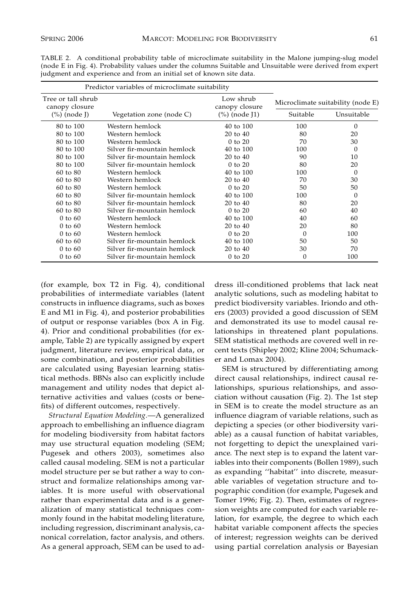|                                      | Predictor variables of microclimate suitability |                             |                                   |            |
|--------------------------------------|-------------------------------------------------|-----------------------------|-----------------------------------|------------|
| Tree or tall shrub<br>canopy closure |                                                 | Low shrub<br>canopy closure | Microclimate suitability (node E) |            |
| $(\%)$ (node J)                      | Vegetation zone (node C)                        | $(\%)$ (node J1)            | Suitable                          | Unsuitable |
| 80 to 100                            | Western hemlock                                 | 40 to 100                   | 100                               | $\Omega$   |
| 80 to 100                            | Western hemlock                                 | 20 to 40                    | 80                                | 20         |
| 80 to 100                            | Western hemlock                                 | $0$ to $20$                 | 70                                | 30         |
| 80 to 100                            | Silver fir-mountain hemlock                     | 40 to 100                   | 100                               | 0          |
| 80 to 100                            | Silver fir-mountain hemlock                     | $20 \text{ to } 40$         | 90                                | 10         |
| 80 to 100                            | Silver fir-mountain hemlock                     | $0$ to $20$                 | 80                                | 20         |
| 60 to 80                             | Western hemlock                                 | 40 to 100                   | 100                               | $\Omega$   |
| $60 \text{ to } 80$                  | Western hemlock                                 | $20 \text{ to } 40$         | 70                                | 30         |
| 60 to 80                             | Western hemlock                                 | $0$ to $20$                 | 50                                | 50         |
| 60 to 80                             | Silver fir-mountain hemlock                     | 40 to 100                   | 100                               | 0          |
| 60 to 80                             | Silver fir-mountain hemlock                     | $20 \text{ to } 40$         | 80                                | 20         |
| $60 \text{ to } 80$                  | Silver fir-mountain hemlock                     | $0$ to $20$                 | 60                                | 40         |
| $0$ to $60$                          | Western hemlock                                 | 40 to 100                   | 40                                | 60         |
| $0$ to $60$                          | Western hemlock                                 | $20 \text{ to } 40$         | 20                                | 80         |
| $0$ to $60$                          | Western hemlock                                 | $0$ to $20$                 | $\Omega$                          | 100        |
| 60 to 60                             | Silver fir-mountain hemlock                     | 40 to 100                   | 50                                | 50         |
| $0$ to $60$                          | Silver fir-mountain hemlock                     | $20 \text{ to } 40$         | 30                                | 70         |
| $0$ to $60$                          | Silver fir-mountain hemlock                     | $0$ to $20$                 | $\theta$                          | 100        |

TABLE 2. A conditional probability table of microclimate suitability in the Malone jumping-slug model (node E in Fig. 4). Probability values under the columns Suitable and Unsuitable were derived from expert judgment and experience and from an initial set of known site data.

(for example, box T2 in Fig. 4), conditional probabilities of intermediate variables (latent constructs in influence diagrams, such as boxes E and M1 in Fig. 4), and posterior probabilities of output or response variables (box A in Fig. 4). Prior and conditional probabilities (for example, Table 2) are typically assigned by expert judgment, literature review, empirical data, or some combination, and posterior probabilities are calculated using Bayesian learning statistical methods. BBNs also can explicitly include management and utility nodes that depict alternative activities and values (costs or benefits) of different outcomes, respectively.

*Structural Equation Modeling.*—A generalized approach to embellishing an influence diagram for modeling biodiversity from habitat factors may use structural equation modeling (SEM; Pugesek and others 2003), sometimes also called causal modeling. SEM is not a particular model structure per se but rather a way to construct and formalize relationships among variables. It is more useful with observational rather than experimental data and is a generalization of many statistical techniques commonly found in the habitat modeling literature, including regression, discriminant analysis, canonical correlation, factor analysis, and others. As a general approach, SEM can be used to ad-

dress ill-conditioned problems that lack neat analytic solutions, such as modeling habitat to predict biodiversity variables. Iriondo and others (2003) provided a good discussion of SEM and demonstrated its use to model causal relationships in threatened plant populations. SEM statistical methods are covered well in recent texts (Shipley 2002; Kline 2004; Schumacker and Lomax 2004).

SEM is structured by differentiating among direct causal relationships, indirect causal relationships, spurious relationships, and association without causation (Fig. 2). The 1st step in SEM is to create the model structure as an influence diagram of variable relations, such as depicting a species (or other biodiversity variable) as a causal function of habitat variables, not forgetting to depict the unexplained variance. The next step is to expand the latent variables into their components (Bollen 1989), such as expanding ''habitat'' into discrete, measurable variables of vegetation structure and topographic condition (for example, Pugesek and Tomer 1996; Fig. 2). Then, estimates of regression weights are computed for each variable relation, for example, the degree to which each habitat variable component affects the species of interest; regression weights can be derived using partial correlation analysis or Bayesian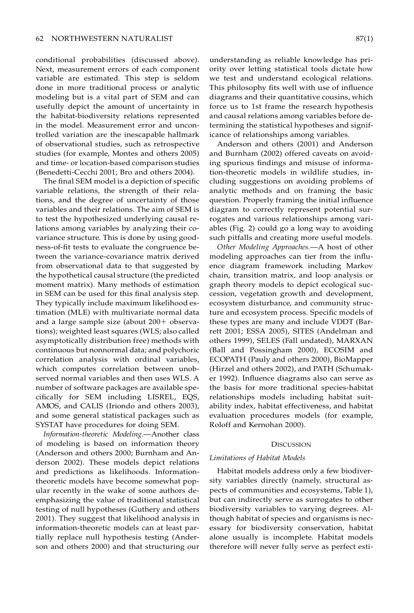conditional probabilities (discussed above). Next, measurement errors of each component variable are estimated. This step is seldom done in more traditional process or analytic modeling but is a vital part of SEM and can usefully depict the amount of uncertainty in the habitat-biodiversity relations represented in the model. Measurement error and uncontrolled variation are the inescapable hallmark of observational studies, such as retrospective studies (for example, Montes and others 2005) and time- or location-based comparison studies (Benedetti-Cecchi 2001; Bro and others 2004).

The final SEM model is a depiction of specific variable relations, the strength of their relations, and the degree of uncertainty of those variables and their relations. The aim of SEM is to test the hypothesized underlying causal relations among variables by analyzing their covariance structure. This is done by using goodness-of-fit tests to evaluate the congruence between the variance-covariance matrix derived from observational data to that suggested by the hypothetical causal structure (the predicted moment matrix). Many methods of estimation in SEM can be used for this final analysis step. They typically include maximum likelihood estimation (MLE) with multivariate normal data and a large sample size (about  $200+$  observations); weighted least squares (WLS; also called asymptotically distribution free) methods with continuous but nonnormal data; and polychoric correlation analysis with ordinal variables, which computes correlation between unobserved normal variables and then uses WLS. A number of software packages are available specifically for SEM including LISREL, EQS, AMOS, and CALIS (Iriondo and others 2003), and some general statistical packages such as SYSTAT have procedures for doing SEM.

*Information-theoretic Modeling.*—Another class of modeling is based on information theory (Anderson and others 2000; Burnham and Anderson 2002). These models depict relations and predictions as likelihoods. Informationtheoretic models have become somewhat popular recently in the wake of some authors deemphasizing the value of traditional statistical testing of null hypotheses (Guthery and others 2001). They suggest that likelihood analysis in information-theoretic models can at least partially replace null hypothesis testing (Anderson and others 2000) and that structuring our understanding as reliable knowledge has priority over letting statistical tools dictate how we test and understand ecological relations. This philosophy fits well with use of influence diagrams and their quantitative cousins, which force us to 1st frame the research hypothesis and causal relations among variables before determining the statistical hypotheses and significance of relationships among variables.

Anderson and others (2001) and Anderson and Burnham (2002) offered caveats on avoiding spurious findings and misuse of information-theoretic models in wildlife studies, including suggestions on avoiding problems of analytic methods and on framing the basic question. Properly framing the initial influence diagram to correctly represent potential surrogates and various relationships among variables (Fig. 2) could go a long way to avoiding such pitfalls and creating more useful models.

*Other Modeling Approaches.*—A host of other modeling approaches can tier from the influence diagram framework including Markov chain, transition matrix, and loop analysis or graph theory models to depict ecological succession, vegetation growth and development, ecosystem disturbance, and community structure and ecosystem process. Specific models of these types are many and include VDDT (Barrett 2001; ESSA 2005), SITES (Andelman and others 1999), SELES (Fall undated), MARXAN (Ball and Possingham 2000), ECOSIM and ECOPATH (Pauly and others 2000), BioMapper (Hirzel and others 2002), and PATH (Schumaker 1992). Influence diagrams also can serve as the basis for more traditional species-habitat relationships models including habitat suitability index, habitat effectiveness, and habitat evaluation procedures models (for example, Roloff and Kernohan 2000).

#### **DISCUSSION**

### *Limitations of Habitat Models*

Habitat models address only a few biodiversity variables directly (namely, structural aspects of communities and ecosystems, Table 1), but can indirectly serve as surrogates to other biodiversity variables to varying degrees. Although habitat of species and organisms is necessary for biodiversity conservation, habitat alone usually is incomplete. Habitat models therefore will never fully serve as perfect esti-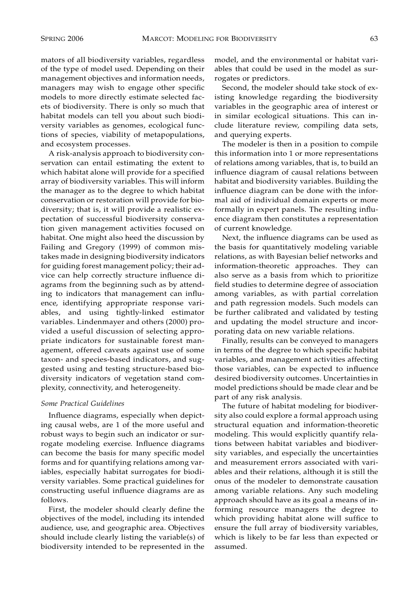mators of all biodiversity variables, regardless of the type of model used. Depending on their management objectives and information needs, managers may wish to engage other specific models to more directly estimate selected facets of biodiversity. There is only so much that habitat models can tell you about such biodiversity variables as genomes, ecological functions of species, viability of metapopulations, and ecosystem processes.

A risk-analysis approach to biodiversity conservation can entail estimating the extent to which habitat alone will provide for a specified array of biodiversity variables. This will inform the manager as to the degree to which habitat conservation or restoration will provide for biodiversity; that is, it will provide a realistic expectation of successful biodiversity conservation given management activities focused on habitat. One might also heed the discussion by Failing and Gregory (1999) of common mistakes made in designing biodiversity indicators for guiding forest management policy; their advice can help correctly structure influence diagrams from the beginning such as by attending to indicators that management can influence, identifying appropriate response variables, and using tightly-linked estimator variables. Lindenmayer and others (2000) provided a useful discussion of selecting appropriate indicators for sustainable forest management, offered caveats against use of some taxon- and species-based indicators, and suggested using and testing structure-based biodiversity indicators of vegetation stand complexity, connectivity, and heterogeneity.

## *Some Practical Guidelines*

Influence diagrams, especially when depicting causal webs, are 1 of the more useful and robust ways to begin such an indicator or surrogate modeling exercise. Influence diagrams can become the basis for many specific model forms and for quantifying relations among variables, especially habitat surrogates for biodiversity variables. Some practical guidelines for constructing useful influence diagrams are as follows.

First, the modeler should clearly define the objectives of the model, including its intended audience, use, and geographic area. Objectives should include clearly listing the variable(s) of biodiversity intended to be represented in the model, and the environmental or habitat variables that could be used in the model as surrogates or predictors.

Second, the modeler should take stock of existing knowledge regarding the biodiversity variables in the geographic area of interest or in similar ecological situations. This can include literature review, compiling data sets, and querying experts.

The modeler is then in a position to compile this information into 1 or more representations of relations among variables, that is, to build an influence diagram of causal relations between habitat and biodiversity variables. Building the influence diagram can be done with the informal aid of individual domain experts or more formally in expert panels. The resulting influence diagram then constitutes a representation of current knowledge.

Next, the influence diagrams can be used as the basis for quantitatively modeling variable relations, as with Bayesian belief networks and information-theoretic approaches. They can also serve as a basis from which to prioritize field studies to determine degree of association among variables, as with partial correlation and path regression models. Such models can be further calibrated and validated by testing and updating the model structure and incorporating data on new variable relations.

Finally, results can be conveyed to managers in terms of the degree to which specific habitat variables, and management activities affecting those variables, can be expected to influence desired biodiversity outcomes. Uncertainties in model predictions should be made clear and be part of any risk analysis.

The future of habitat modeling for biodiversity also could explore a formal approach using structural equation and information-theoretic modeling. This would explicitly quantify relations between habitat variables and biodiversity variables, and especially the uncertainties and measurement errors associated with variables and their relations, although it is still the onus of the modeler to demonstrate causation among variable relations. Any such modeling approach should have as its goal a means of informing resource managers the degree to which providing habitat alone will suffice to ensure the full array of biodiversity variables, which is likely to be far less than expected or assumed.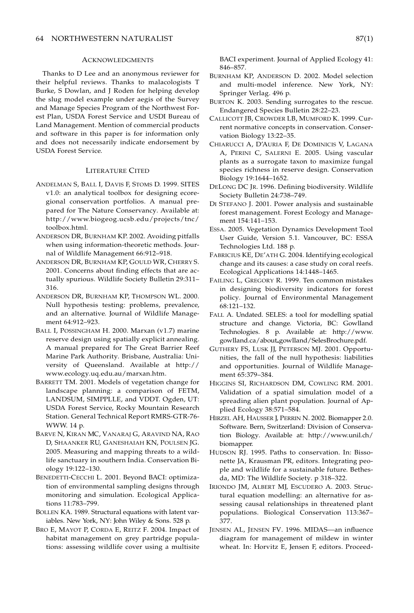### ACKNOWLEDGMENTS

Thanks to D Lee and an anonymous reviewer for their helpful reviews. Thanks to malacologists T Burke, S Dowlan, and J Roden for helping develop the slug model example under aegis of the Survey and Manage Species Program of the Northwest Forest Plan, USDA Forest Service and USDI Bureau of Land Management. Mention of commercial products and software in this paper is for information only and does not necessarily indicate endorsement by USDA Forest Service.

### LITERATURE CITED

- ANDELMAN S, BALL I, DAVIS F, STOMS D. 1999. SITES v1.0: an analytical toolbox for designing ecoregional conservation portfolios. A manual prepared for The Nature Conservancy. Available at: http://www.biogeog.ucsb.edu/projects/tnc/ toolbox.html.
- ANDERSON DR, BURNHAM KP. 2002. Avoiding pitfalls when using information-theoretic methods. Journal of Wildlife Management 66:912–918.
- ANDERSON DR, BURNHAM KP, GOULD WR, CHERRY S. 2001. Concerns about finding effects that are actually spurious. Wildlife Society Bulletin 29:311– 316.
- ANDERSON DR, BURNHAM KP, THOMPSON WL. 2000. Null hypothesis testing: problems, prevalence, and an alternative. Journal of Wildlife Management 64:912–923.
- BALL I, POSSINGHAM H. 2000. Marxan (v1.7) marine reserve design using spatially explicit annealing. A manual prepared for The Great Barrier Reef Marine Park Authority. Brisbane, Australia: University of Queensland. Available at http:// www.ecology.uq.edu.au/marxan.htm.
- BARRETT TM. 2001. Models of vegetation change for landscape planning: a comparison of FETM, LANDSUM, SIMPPLLE, and VDDT. Ogden, UT: USDA Forest Service, Rocky Mountain Research Station. General Technical Report RMRS-GTR-76- WWW. 14 p.
- BARVE N, KIRAN MC, VANARAJ G, ARAVIND NA, RAO D, SHAANKER RU, GANESHAIAH KN, POULSEN JG. 2005. Measuring and mapping threats to a wildlife sanctuary in southern India. Conservation Biology 19:122–130.
- BENEDETTI-CECCHI L. 2001. Beyond BACI: optimization of environmental sampling designs through monitoring and simulation. Ecological Applications 11:783–799.
- BOLLEN KA. 1989. Structural equations with latent variables. New York, NY: John Wiley & Sons. 528 p.
- BRO E, MAYOT P, CORDA E, REITZ F. 2004. Impact of habitat management on grey partridge populations: assessing wildlife cover using a multisite

BACI experiment. Journal of Applied Ecology 41: 846–857.

- BURNHAM KP, ANDERSON D. 2002. Model selection and multi-model inference. New York, NY: Springer Verlag. 496 p.
- BURTON K. 2003. Sending surrogates to the rescue. Endangered Species Bulletin 28:22–23.
- CALLICOTT JB, CROWDER LB, MUMFORD K. 1999. Current normative concepts in conservation. Conservation Biology 13:22–35.
- CHIARUCCI A, D'AURIA F, DE DOMINICIS V, LAGANA A, PERINI C, SALERNI E. 2005. Using vascular plants as a surrogate taxon to maximize fungal species richness in reserve design. Conservation Biology 19:1644–1652.
- DELONG DC JR. 1996. Defining biodiversity. Wildlife Society Bulletin 24:738–749.
- DI STEFANO J. 2001. Power analysis and sustainable forest management. Forest Ecology and Management 154:141–153.
- ESSA. 2005. Vegetation Dynamics Development Tool User Guide, Version 5.1. Vancouver, BC: ESSA Technologies Ltd. 188 p.
- FABRICIUS KE, DE'ATH G. 2004. Identifying ecological change and its causes: a case study on coral reefs. Ecological Applications 14:1448–1465.
- FAILING L, GREGORY R. 1999. Ten common mistakes in designing biodiversity indicators for forest policy. Journal of Environmental Management 68:121–132.
- FALL A. Undated. SELES: a tool for modelling spatial structure and change. Victoria, BC: Gowlland Technologies. 8 p. Available at: http://www. gowlland.ca/about\_gowlland/SelesBrochure.pdf.
- GUTHERY FS, LUSK JJ, PETERSON MJ. 2001. Opportunities, the fall of the null hypothesis: liabilities and opportunities. Journal of Wildlife Management 65:379–384.
- HIGGINS SI, RICHARDSON DM, COWLING RM. 2001. Validation of a spatial simulation model of a spreading alien plant population. Journal of Applied Ecology 38:571–584.
- HIRZEL AH, HAUSSER J, PERRIN N. 2002. Biomapper 2.0. Software. Bern, Switzerland: Division of Conservation Biology. Available at: http://www.unil.ch/ biomapper.
- HUDSON RJ. 1995. Paths to conservation. In: Bissonette JA, Krausman PR, editors. Integrating people and wildlife for a sustainable future. Bethesda, MD: The Wildlife Society. p 318–322.
- IRIONDO JM, ALBERT MJ, ESCUDERO A. 2003. Structural equation modelling: an alternative for assessing causal relationships in threatened plant populations. Biological Conservation 113:367– 377.
- JENSEN AL, JENSEN FV. 1996. MIDAS—an influence diagram for management of mildew in winter wheat. In: Horvitz E, Jensen F, editors. Proceed-